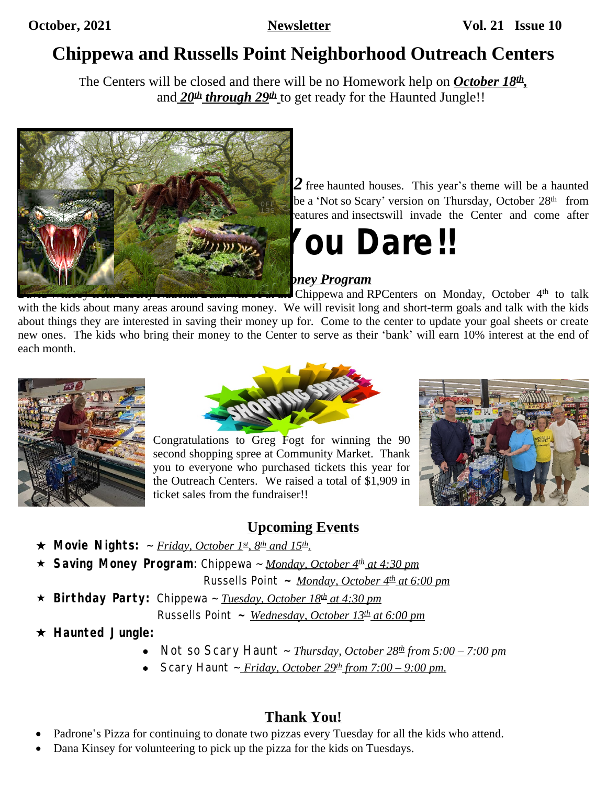# **Chippewa and Russells Point Neighborhood Outreach Centers**

The Centers will be closed and there will be no Homework help on *October 18th ,* and 20<sup>th</sup> through 29<sup>th</sup> to get ready for the Haunted Jungle!!



 $2$  free haunted houses. This year's theme will be a haunted  $\frac{1}{\sqrt{1-\frac{1}{\sqrt{1-\frac{1}{\sqrt{1-\frac{1}{\sqrt{1-\frac{1}{\sqrt{1-\frac{1}{\sqrt{1-\frac{1}{\sqrt{1-\frac{1}{\sqrt{1-\frac{1}{\sqrt{1-\frac{1}{\sqrt{1-\frac{1}{\sqrt{1-\frac{1}{\sqrt{1-\frac{1}{\sqrt{1-\frac{1}{\sqrt{1-\frac{1}{\sqrt{1-\frac{1}{\sqrt{1-\frac{1}{\sqrt{1-\frac{1}{\sqrt{1-\frac{1}{\sqrt{1-\frac{1}{\sqrt{1-\frac{1}{\sqrt{1-\frac{1}{\sqrt{1-\frac{1}{\sqrt{1-\frac{1}{\sqrt{1-\frac{1$ freatures and insectswill invade the Center and come after

# anyone who enter. *Enter*…*. If You Dare!!*

### *Saving Money Program*

David Willows Holm Liberty I tantonal Bank will be at the Chippewa and RPCenters on Monday, October 4<sup>th</sup> to talk with the kids about many areas around saving money. We will revisit long and short-term goals and talk with the kids about things they are interested in saving their money up for. Come to the center to update your goal sheets or create new ones. The kids who bring their money to the Center to serve as their 'bank' will earn 10% interest at the end of each month.





Congratulations to Greg Fogt for winning the 90 second shopping spree at Community Market. Thank you to everyone who purchased tickets this year for the Outreach Centers. We raised a total of \$1,909 in ticket sales from the fundraiser!!



### **Upcoming Events**

- **Movie Nights:** ~ *Friday, October 1st, 8th and 15th .*
- **Saving Money Program**: Chippewa ~ *Monday, October 4th at 4:30 pm*

Russells Point **~** *Monday, October 4th at 6:00 pm*

**Birthday Party:** Chippewa ~ *Tuesday, October 18th at 4:30 pm*

Russells Point **~** *Wednesday, October 13th at 6:00 pm*

#### **Haunted Jungle:**

- *Not so Scary Haunt* ~ *Thursday, October 28th from 5:00 – 7:00 pm*
- *Scary Haunt ~*  $\frac{8.6666 \text{ m} \cdot 29 \text{ m}}{2 \cdot 100 9 \cdot 00 \text{ pm}}$ *.*

### **Thank You!**

- Padrone's Pizza for continuing to donate two pizzas every Tuesday for all the kids who attend.
- Dana Kinsey for volunteering to pick up the pizza for the kids on Tuesdays.